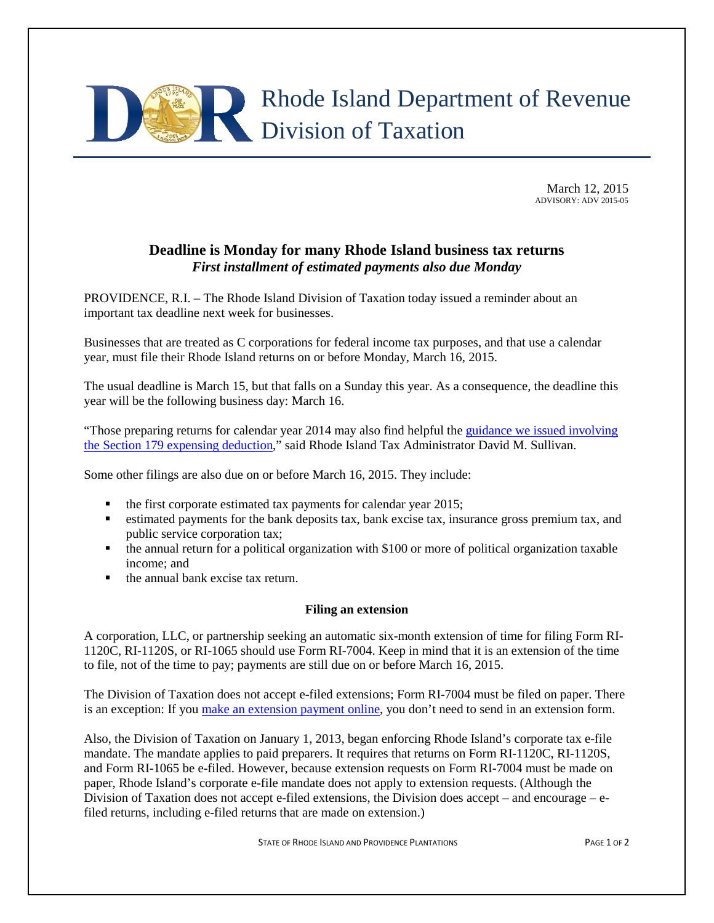

March 12, 2015 ADVISORY: ADV 2015-05

## **Deadline is Monday for many Rhode Island business tax returns** *First installment of estimated payments also due Monday*

PROVIDENCE, R.I. – The Rhode Island Division of Taxation today issued a reminder about an important tax deadline next week for businesses.

Businesses that are treated as C corporations for federal income tax purposes, and that use a calendar year, must file their Rhode Island returns on or before Monday, March 16, 2015.

The usual deadline is March 15, but that falls on a Sunday this year. As a consequence, the deadline this year will be the following business day: March 16.

"Those preparing returns for calendar year 2014 may also find helpful the [guidance we issued involving](http://www.tax.ri.gov/Tax%20Website/TAX/Advisory/ADV%202015-02.pdf)  [the Section 179 expensing deduction,](http://www.tax.ri.gov/Tax%20Website/TAX/Advisory/ADV%202015-02.pdf)" said Rhode Island Tax Administrator David M. Sullivan.

Some other filings are also due on or before March 16, 2015. They include:

- $\blacksquare$  the first corporate estimated tax payments for calendar year 2015;
- estimated payments for the bank deposits tax, bank excise tax, insurance gross premium tax, and public service corporation tax;
- the annual return for a political organization with \$100 or more of political organization taxable income; and
- $\blacksquare$  the annual bank excise tax return.

## **Filing an extension**

A corporation, LLC, or partnership seeking an automatic six-month extension of time for filing Form RI-1120C, RI-1120S, or RI-1065 should use Form RI-7004. Keep in mind that it is an extension of the time to file, not of the time to pay; payments are still due on or before March 16, 2015.

The Division of Taxation does not accept e-filed extensions; Form RI-7004 must be filed on paper. There is an exception: If you [make an extension payment online,](https://www.ri.gov/taxation/business/index.php) you don't need to send in an extension form.

Also, the Division of Taxation on January 1, 2013, began enforcing Rhode Island's corporate tax e-file mandate. The mandate applies to paid preparers. It requires that returns on Form RI-1120C, RI-1120S, and Form RI-1065 be e-filed. However, because extension requests on Form RI-7004 must be made on paper, Rhode Island's corporate e-file mandate does not apply to extension requests. (Although the Division of Taxation does not accept e-filed extensions, the Division does accept – and encourage – efiled returns, including e-filed returns that are made on extension.)